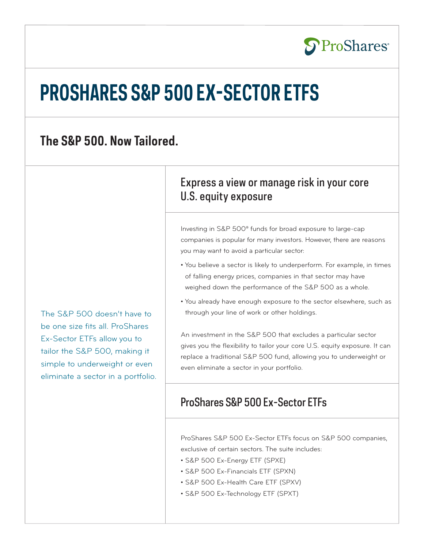

# **PROSHARES S&P 500 EX-SECTOR ETFS**

# **The S&P 500. Now Tailored.**

The S&P 500 doesn't have to be one size fits all. ProShares Ex-Sector ETFs allow you to tailor the S&P 500, making it simple to underweight or even eliminate a sector in a portfolio.

# Express a view or manage risk in your core U.S. equity exposure

Investing in S&P 500® funds for broad exposure to large-cap companies is popular for many investors. However, there are reasons you may want to avoid a particular sector:

- You believe a sector is likely to underperform. For example, in times of falling energy prices, companies in that sector may have weighed down the performance of the S&P 500 as a whole.
- You already have enough exposure to the sector elsewhere, such as through your line of work or other holdings.

An investment in the S&P 500 that excludes a particular sector gives you the flexibility to tailor your core U.S. equity exposure. It can replace a traditional S&P 500 fund, allowing you to underweight or even eliminate a sector in your portfolio.

# ProShares S&P 500 Ex-Sector ETFs

ProShares S&P 500 Ex-Sector ETFs focus on S&P 500 companies, exclusive of certain sectors. The suite includes:

- S&P 500 Ex-Energy ETF (SPXE)
- S&P 500 Ex-Financials ETF (SPXN)
- S&P 500 Ex-Health Care ETF (SPXV)
- S&P 500 Ex-Technology ETF (SPXT)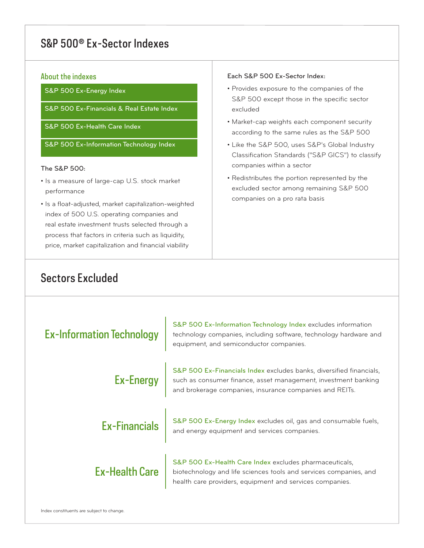# S&P 500® Ex-Sector Indexes

#### About the indexes

S&P 500 Ex-Energy Index

S&P 500 Ex-Financials & Real Estate Index

S&P 500 Ex-Health Care Index

S&P 500 Ex-Information Technology Index

#### The S&P 500:

- Is a measure of large-cap U.S. stock market performance
- Is a float-adjusted, market capitalization-weighted index of 500 U.S. operating companies and real estate investment trusts selected through a process that factors in criteria such as liquidity, price, market capitalization and financial viability

## Sectors Excluded

#### Each S&P 500 Ex-Sector Index:

- Provides exposure to the companies of the S&P 500 except those in the specific sector excluded
- Market-cap weights each component security according to the same rules as the S&P 500
- Like the S&P 500, uses S&P's Global Industry Classification Standards ("S&P GICS") to classify companies within a sector
- Redistributes the portion represented by the excluded sector among remaining S&P 500 companies on a pro rata basis

| <b>Ex-Information Technology</b> | S&P 500 Ex-Information Technology Index excludes information<br>technology companies, including software, technology hardware and<br>equipment, and semiconductor companies.                                          |  |
|----------------------------------|-----------------------------------------------------------------------------------------------------------------------------------------------------------------------------------------------------------------------|--|
|                                  | S&P 500 Ex-Financials Index excludes banks, diversified financials,<br><b>Ex-Energy</b> such as consumer finance, asset management, investment banking<br>and brokerage companies, insurance companies and REITs.     |  |
|                                  | $\mathsf{Ex}\text{-}\mathsf{Financials}\parallel\frac{\mathsf{S}\&\mathsf{P}}{\mathsf{S}^{00}}$ Ex-Energy Index excludes oil, gas and consumable fuels,                                                               |  |
|                                  | Ex-Health Care S&P 500 Ex-Health Care Index excludes pharmaceuticals,<br>Ex-Health Care biotechnology and life sciences tools and services companies, and<br>health care providers, equipment and services companies. |  |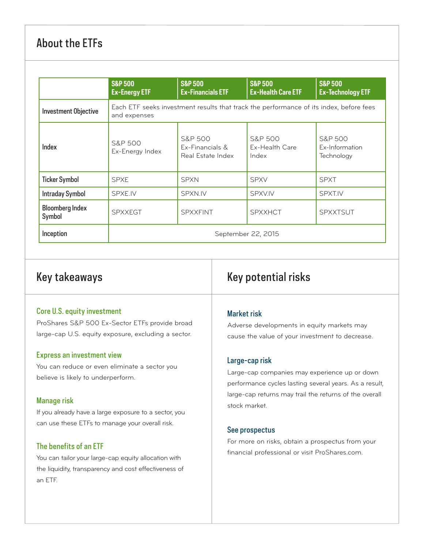# About the ETFs

|                                  | <b>S&amp;P 500</b><br><b>Ex-Energy ETF</b>                                                             | <b>S&amp;P 500</b><br><b>Ex-Financials ETF</b>             | <b>S&amp;P 500</b><br><b>Ex-Health Care ETF</b> | <b>S&amp;P 500</b><br><b>Ex-Technology ETF</b>     |  |
|----------------------------------|--------------------------------------------------------------------------------------------------------|------------------------------------------------------------|-------------------------------------------------|----------------------------------------------------|--|
| <b>Investment Objective</b>      | Each ETF seeks investment results that track the performance of its index, before fees<br>and expenses |                                                            |                                                 |                                                    |  |
| <b>Index</b>                     | <b>S&amp;P 500</b><br>Ex-Energy Index                                                                  | <b>S&amp;P 500</b><br>Ex-Financials &<br>Real Estate Index | <b>S&amp;P 500</b><br>Ex-Health Care<br>Index   | <b>S&amp;P 500</b><br>Ex-Information<br>Technology |  |
| <b>Ticker Symbol</b>             | <b>SPXE</b>                                                                                            | <b>SPXN</b>                                                | <b>SPXV</b>                                     | <b>SPXT</b>                                        |  |
| <b>Intraday Symbol</b>           | <b>SPXE.IV</b>                                                                                         | SPXN.IV                                                    | SPXV.IV                                         | <b>SPXT.IV</b>                                     |  |
| <b>Bloomberg Index</b><br>Symbol | <b>SPXXEGT</b>                                                                                         | <b>SPXXFINT</b>                                            | <b>SPXXHCT</b>                                  | <b>SPXXTSUT</b>                                    |  |
| Inception                        | September 22, 2015                                                                                     |                                                            |                                                 |                                                    |  |

### Key takeaways

#### Core U.S. equity investment

ProShares S&P 500 Ex-Sector ETFs provide broad large-cap U.S. equity exposure, excluding a sector.

#### Express an investment view

You can reduce or even eliminate a sector you believe is likely to underperform.

#### Manage risk

If you already have a large exposure to a sector, you can use these ETFs to manage your overall risk.

#### The benefits of an ETF

You can tailor your large-cap equity allocation with the liquidity, transparency and cost effectiveness of an ETF.

## Key potential risks

#### Market risk

Adverse developments in equity markets may cause the value of your investment to decrease.

#### Large-cap risk

Large-cap companies may experience up or down performance cycles lasting several years. As a result, large-cap returns may trail the returns of the overall stock market.

#### See prospectus

For more on risks, obtain a prospectus from your financial professional or visit ProShares.com.